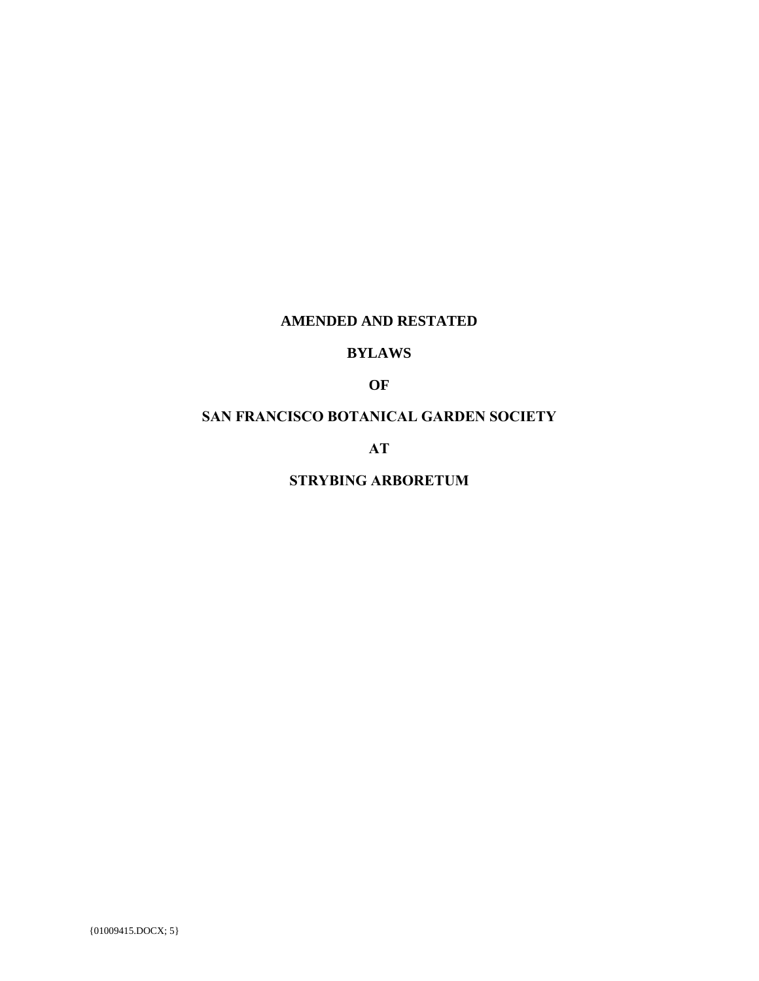## **AMENDED AND RESTATED**

## **BYLAWS**

## **OF**

## **SAN FRANCISCO BOTANICAL GARDEN SOCIETY**

**AT**

**STRYBING ARBORETUM**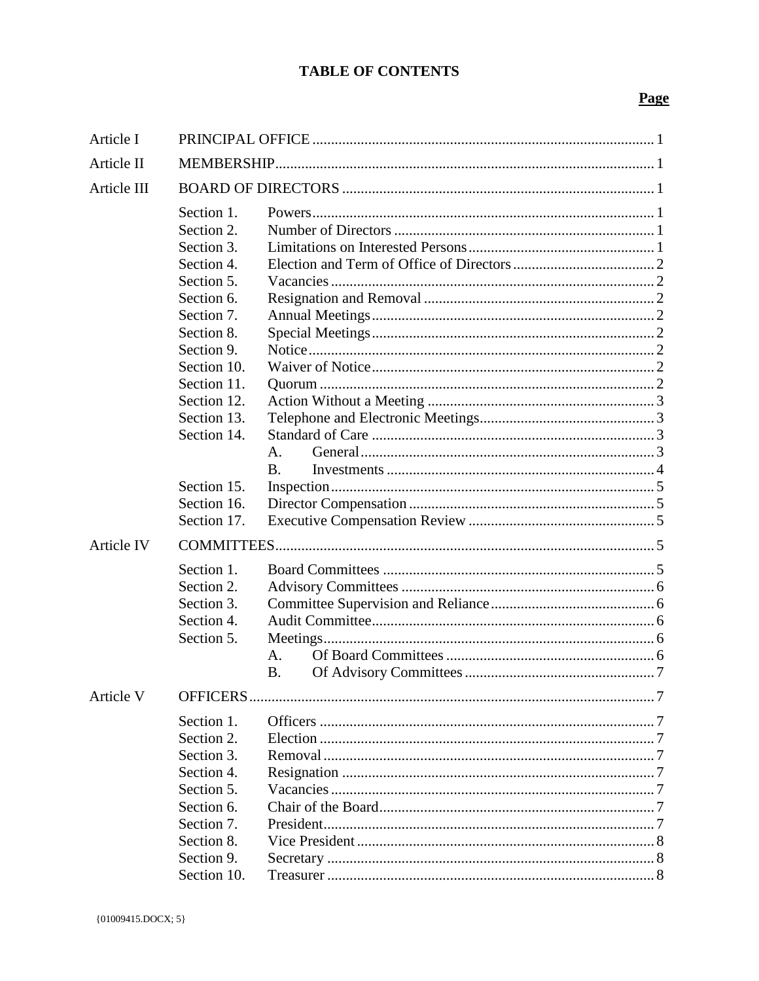# **TABLE OF CONTENTS**

## Page

| Article I   |             |           |  |  |
|-------------|-------------|-----------|--|--|
| Article II  |             |           |  |  |
| Article III |             |           |  |  |
|             | Section 1.  |           |  |  |
|             | Section 2.  |           |  |  |
|             | Section 3.  |           |  |  |
|             | Section 4.  |           |  |  |
|             | Section 5.  |           |  |  |
|             | Section 6.  |           |  |  |
|             | Section 7.  |           |  |  |
|             | Section 8.  |           |  |  |
|             | Section 9.  |           |  |  |
|             | Section 10. |           |  |  |
|             | Section 11. |           |  |  |
|             | Section 12. |           |  |  |
|             | Section 13. |           |  |  |
|             | Section 14. |           |  |  |
|             |             | A.        |  |  |
|             |             | <b>B.</b> |  |  |
|             | Section 15. |           |  |  |
|             | Section 16. |           |  |  |
|             | Section 17. |           |  |  |
| Article IV  |             |           |  |  |
|             | Section 1.  |           |  |  |
|             | Section 2.  |           |  |  |
|             | Section 3.  |           |  |  |
|             | Section 4.  |           |  |  |
|             | Section 5.  |           |  |  |
|             |             | A.        |  |  |
|             |             | <b>B.</b> |  |  |
| Article V   | OFFICERS.   |           |  |  |
|             | Section 1.  |           |  |  |
|             | Section 2.  |           |  |  |
|             | Section 3.  |           |  |  |
|             | Section 4.  |           |  |  |
|             |             |           |  |  |
|             | Section 5.  |           |  |  |
|             | Section 6.  |           |  |  |
|             | Section 7.  |           |  |  |
|             | Section 8.  |           |  |  |
|             | Section 9.  |           |  |  |
|             | Section 10. |           |  |  |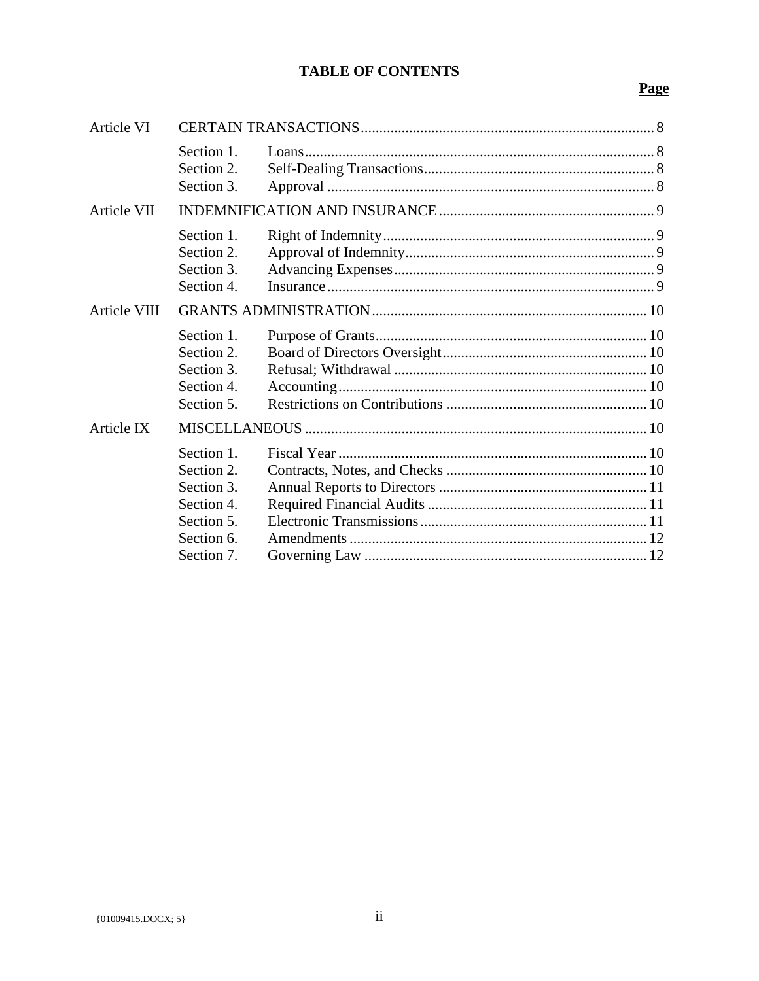# **TABLE OF CONTENTS**

## Page

| Article VI   |                                                                                                |  |  |
|--------------|------------------------------------------------------------------------------------------------|--|--|
|              | Section 1.<br>Section 2.<br>Section 3.                                                         |  |  |
| Article VII  |                                                                                                |  |  |
|              | Section 1.<br>Section 2.<br>Section 3.<br>Section 4.                                           |  |  |
| Article VIII |                                                                                                |  |  |
|              | Section 1.<br>Section 2.<br>Section 3.<br>Section 4.<br>Section 5.                             |  |  |
| Article IX   |                                                                                                |  |  |
|              | Section 1.<br>Section 2.<br>Section 3.<br>Section 4.<br>Section 5.<br>Section 6.<br>Section 7. |  |  |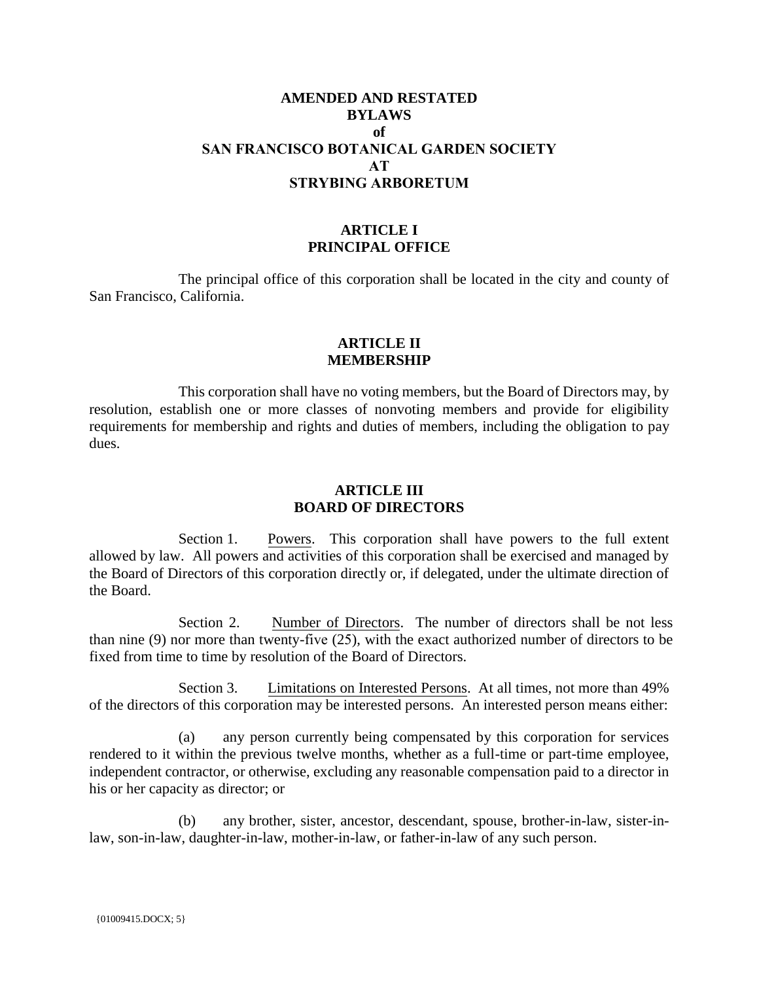## **AMENDED AND RESTATED BYLAWS of SAN FRANCISCO BOTANICAL GARDEN SOCIETY AT STRYBING ARBORETUM**

### **ARTICLE I PRINCIPAL OFFICE**

The principal office of this corporation shall be located in the city and county of San Francisco, California.

#### **ARTICLE II MEMBERSHIP**

This corporation shall have no voting members, but the Board of Directors may, by resolution, establish one or more classes of nonvoting members and provide for eligibility requirements for membership and rights and duties of members, including the obligation to pay dues.

### **ARTICLE III BOARD OF DIRECTORS**

Section 1. Powers. This corporation shall have powers to the full extent allowed by law. All powers and activities of this corporation shall be exercised and managed by the Board of Directors of this corporation directly or, if delegated, under the ultimate direction of the Board.

Section 2. Number of Directors. The number of directors shall be not less than nine (9) nor more than twenty-five (25), with the exact authorized number of directors to be fixed from time to time by resolution of the Board of Directors.

Section 3. Limitations on Interested Persons. At all times, not more than 49% of the directors of this corporation may be interested persons. An interested person means either:

(a) any person currently being compensated by this corporation for services rendered to it within the previous twelve months, whether as a full-time or part-time employee, independent contractor, or otherwise, excluding any reasonable compensation paid to a director in his or her capacity as director; or

(b) any brother, sister, ancestor, descendant, spouse, brother-in-law, sister-inlaw, son-in-law, daughter-in-law, mother-in-law, or father-in-law of any such person.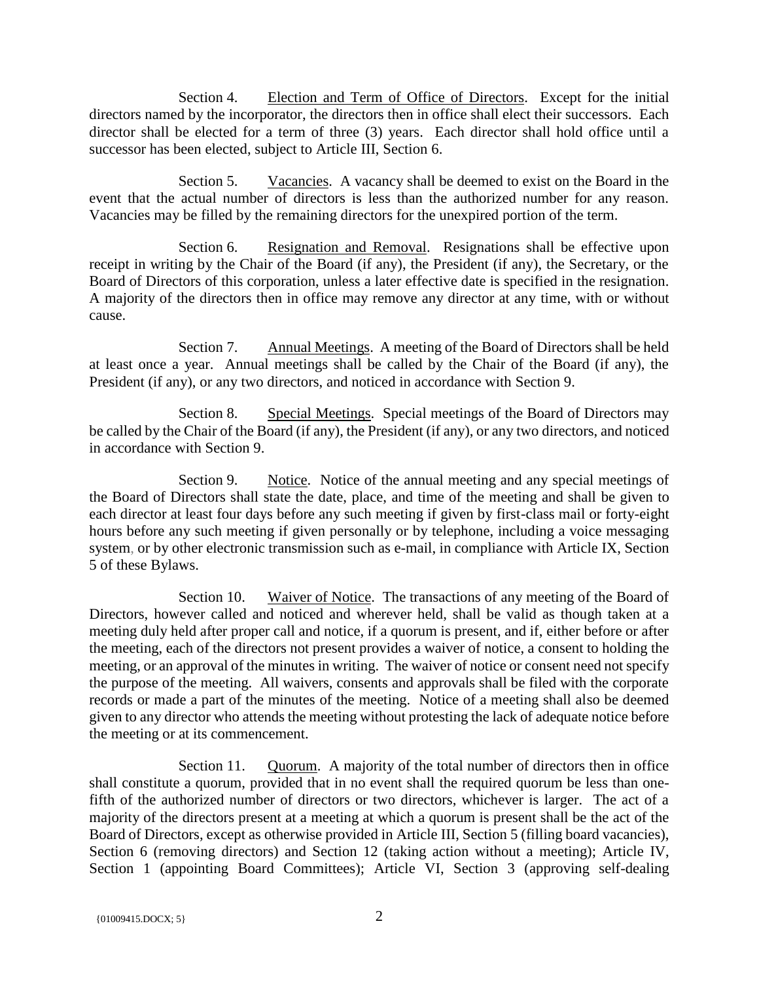Section 4. Election and Term of Office of Directors. Except for the initial directors named by the incorporator, the directors then in office shall elect their successors. Each director shall be elected for a term of three (3) years. Each director shall hold office until a successor has been elected, subject to Article III, Section 6.

Section 5. Vacancies. A vacancy shall be deemed to exist on the Board in the event that the actual number of directors is less than the authorized number for any reason. Vacancies may be filled by the remaining directors for the unexpired portion of the term.

Section 6. Resignation and Removal. Resignations shall be effective upon receipt in writing by the Chair of the Board (if any), the President (if any), the Secretary, or the Board of Directors of this corporation, unless a later effective date is specified in the resignation. A majority of the directors then in office may remove any director at any time, with or without cause.

Section 7. Annual Meetings. A meeting of the Board of Directors shall be held at least once a year. Annual meetings shall be called by the Chair of the Board (if any), the President (if any), or any two directors, and noticed in accordance with Section 9.

Section 8. Special Meetings. Special meetings of the Board of Directors may be called by the Chair of the Board (if any), the President (if any), or any two directors, and noticed in accordance with Section 9.

Section 9. Notice. Notice of the annual meeting and any special meetings of the Board of Directors shall state the date, place, and time of the meeting and shall be given to each director at least four days before any such meeting if given by first-class mail or forty-eight hours before any such meeting if given personally or by telephone, including a voice messaging system, or by other electronic transmission such as e-mail, in compliance with Article IX, Section 5 of these Bylaws.

Section 10. Waiver of Notice. The transactions of any meeting of the Board of Directors, however called and noticed and wherever held, shall be valid as though taken at a meeting duly held after proper call and notice, if a quorum is present, and if, either before or after the meeting, each of the directors not present provides a waiver of notice, a consent to holding the meeting, or an approval of the minutes in writing. The waiver of notice or consent need not specify the purpose of the meeting. All waivers, consents and approvals shall be filed with the corporate records or made a part of the minutes of the meeting. Notice of a meeting shall also be deemed given to any director who attends the meeting without protesting the lack of adequate notice before the meeting or at its commencement.

Section 11. Quorum. A majority of the total number of directors then in office shall constitute a quorum, provided that in no event shall the required quorum be less than onefifth of the authorized number of directors or two directors, whichever is larger. The act of a majority of the directors present at a meeting at which a quorum is present shall be the act of the Board of Directors, except as otherwise provided in Article III, Section 5 (filling board vacancies), Section 6 (removing directors) and Section 12 (taking action without a meeting); Article IV, Section 1 (appointing Board Committees); Article VI, Section 3 (approving self-dealing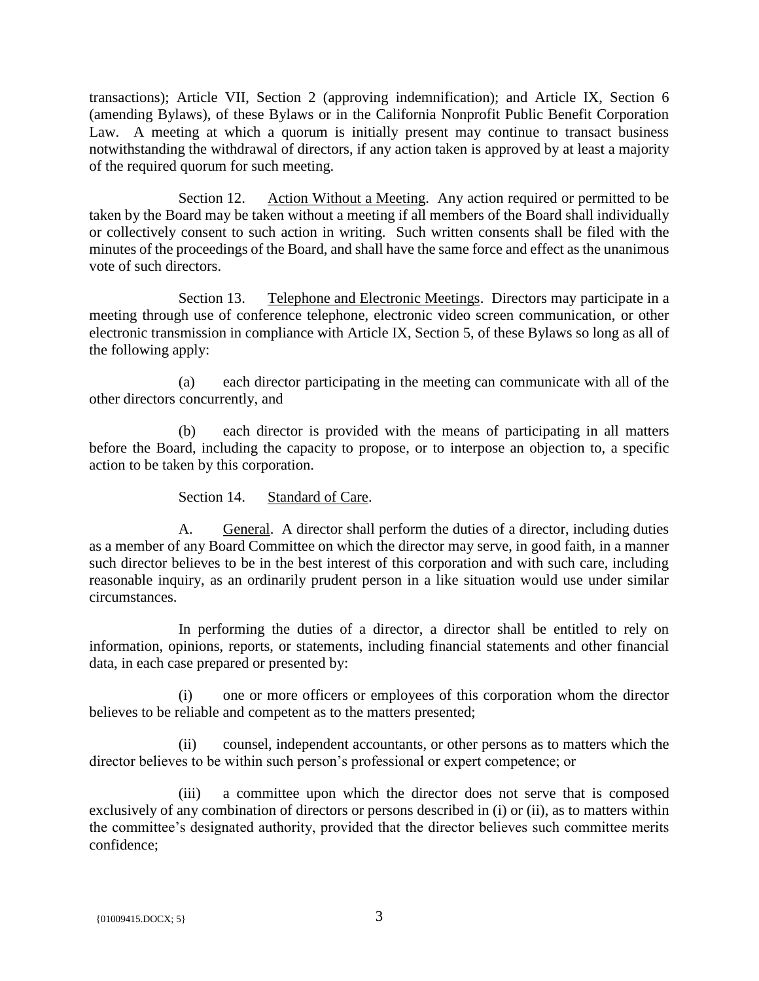transactions); Article VII, Section 2 (approving indemnification); and Article IX, Section 6 (amending Bylaws), of these Bylaws or in the California Nonprofit Public Benefit Corporation Law. A meeting at which a quorum is initially present may continue to transact business notwithstanding the withdrawal of directors, if any action taken is approved by at least a majority of the required quorum for such meeting.

Section 12. Action Without a Meeting. Any action required or permitted to be taken by the Board may be taken without a meeting if all members of the Board shall individually or collectively consent to such action in writing. Such written consents shall be filed with the minutes of the proceedings of the Board, and shall have the same force and effect as the unanimous vote of such directors.

Section 13. Telephone and Electronic Meetings. Directors may participate in a meeting through use of conference telephone, electronic video screen communication, or other electronic transmission in compliance with Article IX, Section 5, of these Bylaws so long as all of the following apply:

(a) each director participating in the meeting can communicate with all of the other directors concurrently, and

(b) each director is provided with the means of participating in all matters before the Board, including the capacity to propose, or to interpose an objection to, a specific action to be taken by this corporation.

Section 14. Standard of Care.

A. General. A director shall perform the duties of a director, including duties as a member of any Board Committee on which the director may serve, in good faith, in a manner such director believes to be in the best interest of this corporation and with such care, including reasonable inquiry, as an ordinarily prudent person in a like situation would use under similar circumstances.

In performing the duties of a director, a director shall be entitled to rely on information, opinions, reports, or statements, including financial statements and other financial data, in each case prepared or presented by:

(i) one or more officers or employees of this corporation whom the director believes to be reliable and competent as to the matters presented;

(ii) counsel, independent accountants, or other persons as to matters which the director believes to be within such person's professional or expert competence; or

(iii) a committee upon which the director does not serve that is composed exclusively of any combination of directors or persons described in (i) or (ii), as to matters within the committee's designated authority, provided that the director believes such committee merits confidence;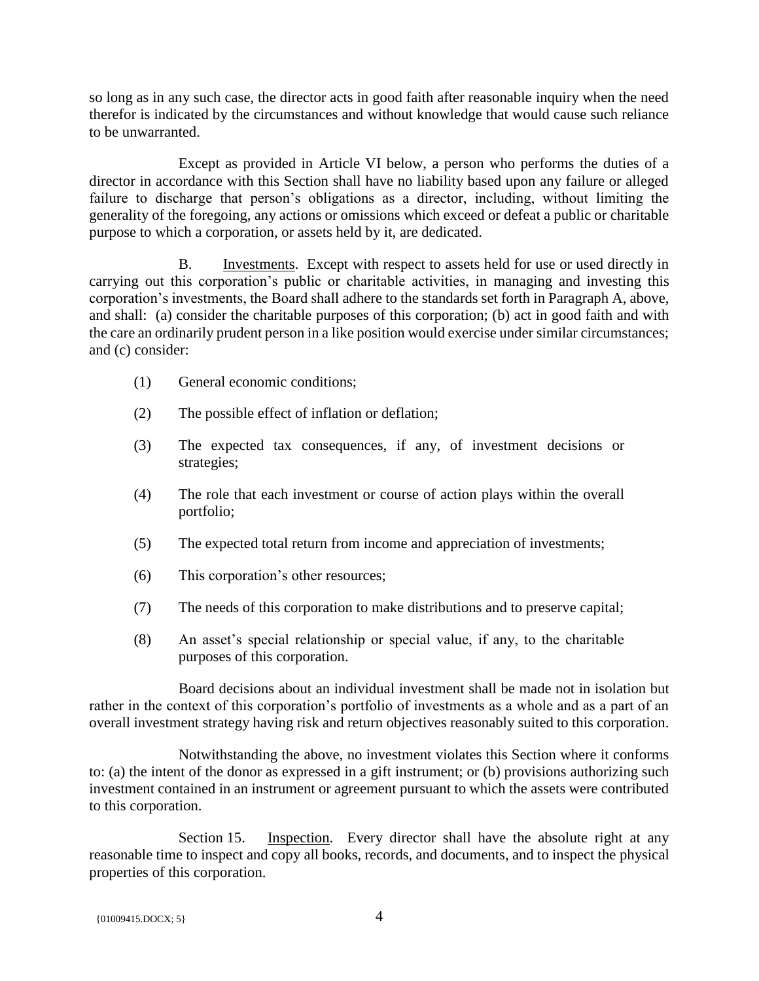so long as in any such case, the director acts in good faith after reasonable inquiry when the need therefor is indicated by the circumstances and without knowledge that would cause such reliance to be unwarranted.

Except as provided in Article VI below, a person who performs the duties of a director in accordance with this Section shall have no liability based upon any failure or alleged failure to discharge that person's obligations as a director, including, without limiting the generality of the foregoing, any actions or omissions which exceed or defeat a public or charitable purpose to which a corporation, or assets held by it, are dedicated.

B. Investments. Except with respect to assets held for use or used directly in carrying out this corporation's public or charitable activities, in managing and investing this corporation's investments, the Board shall adhere to the standards set forth in Paragraph A, above, and shall: (a) consider the charitable purposes of this corporation; (b) act in good faith and with the care an ordinarily prudent person in a like position would exercise under similar circumstances; and (c) consider:

- (1) General economic conditions;
- (2) The possible effect of inflation or deflation;
- (3) The expected tax consequences, if any, of investment decisions or strategies;
- (4) The role that each investment or course of action plays within the overall portfolio;
- (5) The expected total return from income and appreciation of investments;
- (6) This corporation's other resources;
- (7) The needs of this corporation to make distributions and to preserve capital;
- (8) An asset's special relationship or special value, if any, to the charitable purposes of this corporation.

Board decisions about an individual investment shall be made not in isolation but rather in the context of this corporation's portfolio of investments as a whole and as a part of an overall investment strategy having risk and return objectives reasonably suited to this corporation.

Notwithstanding the above, no investment violates this Section where it conforms to: (a) the intent of the donor as expressed in a gift instrument; or (b) provisions authorizing such investment contained in an instrument or agreement pursuant to which the assets were contributed to this corporation.

Section 15. Inspection. Every director shall have the absolute right at any reasonable time to inspect and copy all books, records, and documents, and to inspect the physical properties of this corporation.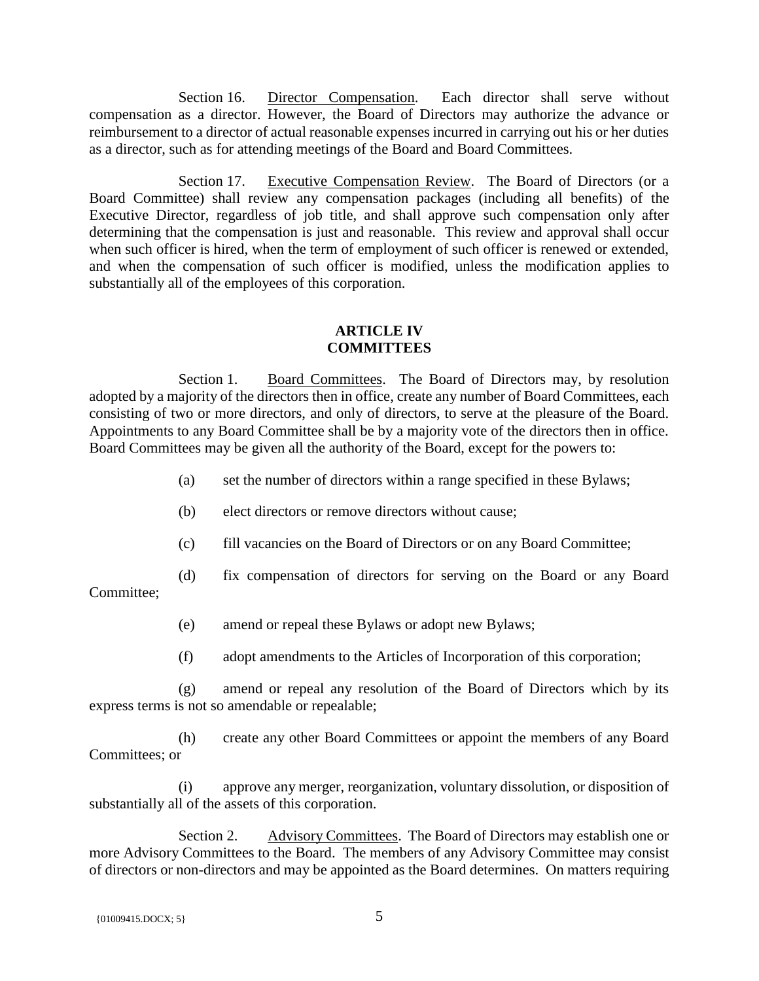Section 16. Director Compensation. Each director shall serve without compensation as a director. However, the Board of Directors may authorize the advance or reimbursement to a director of actual reasonable expenses incurred in carrying out his or her duties as a director, such as for attending meetings of the Board and Board Committees.

Section 17. Executive Compensation Review. The Board of Directors (or a Board Committee) shall review any compensation packages (including all benefits) of the Executive Director, regardless of job title, and shall approve such compensation only after determining that the compensation is just and reasonable. This review and approval shall occur when such officer is hired, when the term of employment of such officer is renewed or extended, and when the compensation of such officer is modified, unless the modification applies to substantially all of the employees of this corporation.

### **ARTICLE IV COMMITTEES**

Section 1. Board Committees. The Board of Directors may, by resolution adopted by a majority of the directors then in office, create any number of Board Committees, each consisting of two or more directors, and only of directors, to serve at the pleasure of the Board. Appointments to any Board Committee shall be by a majority vote of the directors then in office. Board Committees may be given all the authority of the Board, except for the powers to:

- (a) set the number of directors within a range specified in these Bylaws;
- (b) elect directors or remove directors without cause;
- (c) fill vacancies on the Board of Directors or on any Board Committee;
- (d) fix compensation of directors for serving on the Board or any Board

Committee;

- (e) amend or repeal these Bylaws or adopt new Bylaws;
- (f) adopt amendments to the Articles of Incorporation of this corporation;

(g) amend or repeal any resolution of the Board of Directors which by its express terms is not so amendable or repealable;

(h) create any other Board Committees or appoint the members of any Board Committees; or

(i) approve any merger, reorganization, voluntary dissolution, or disposition of substantially all of the assets of this corporation.

Section 2. Advisory Committees. The Board of Directors may establish one or more Advisory Committees to the Board. The members of any Advisory Committee may consist of directors or non-directors and may be appointed as the Board determines. On matters requiring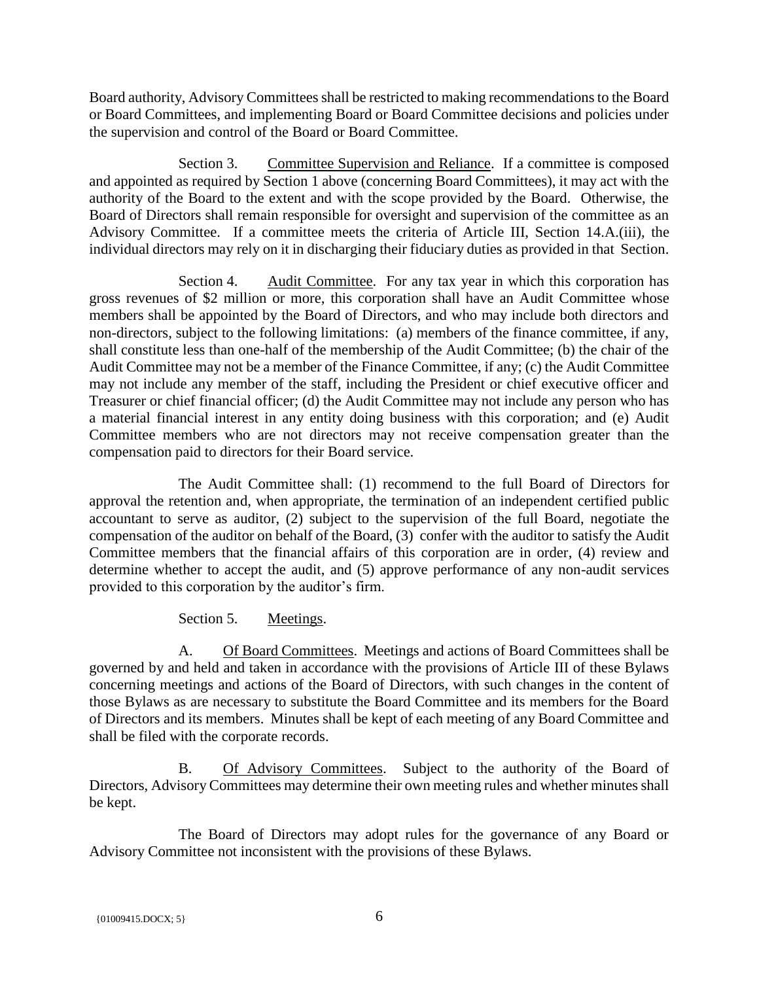Board authority, Advisory Committees shall be restricted to making recommendations to the Board or Board Committees, and implementing Board or Board Committee decisions and policies under the supervision and control of the Board or Board Committee.

Section 3. Committee Supervision and Reliance. If a committee is composed and appointed as required by Section 1 above (concerning Board Committees), it may act with the authority of the Board to the extent and with the scope provided by the Board. Otherwise, the Board of Directors shall remain responsible for oversight and supervision of the committee as an Advisory Committee. If a committee meets the criteria of Article III, Section 14.A.(iii), the individual directors may rely on it in discharging their fiduciary duties as provided in that Section.

Section 4. Audit Committee. For any tax year in which this corporation has gross revenues of \$2 million or more, this corporation shall have an Audit Committee whose members shall be appointed by the Board of Directors, and who may include both directors and non-directors, subject to the following limitations: (a) members of the finance committee, if any, shall constitute less than one-half of the membership of the Audit Committee; (b) the chair of the Audit Committee may not be a member of the Finance Committee, if any; (c) the Audit Committee may not include any member of the staff, including the President or chief executive officer and Treasurer or chief financial officer; (d) the Audit Committee may not include any person who has a material financial interest in any entity doing business with this corporation; and (e) Audit Committee members who are not directors may not receive compensation greater than the compensation paid to directors for their Board service.

The Audit Committee shall: (1) recommend to the full Board of Directors for approval the retention and, when appropriate, the termination of an independent certified public accountant to serve as auditor, (2) subject to the supervision of the full Board, negotiate the compensation of the auditor on behalf of the Board, (3) confer with the auditor to satisfy the Audit Committee members that the financial affairs of this corporation are in order, (4) review and determine whether to accept the audit, and (5) approve performance of any non-audit services provided to this corporation by the auditor's firm.

Section 5. Meetings.

A. Of Board Committees. Meetings and actions of Board Committees shall be governed by and held and taken in accordance with the provisions of Article III of these Bylaws concerning meetings and actions of the Board of Directors, with such changes in the content of those Bylaws as are necessary to substitute the Board Committee and its members for the Board of Directors and its members. Minutes shall be kept of each meeting of any Board Committee and shall be filed with the corporate records.

B. Of Advisory Committees. Subject to the authority of the Board of Directors, Advisory Committees may determine their own meeting rules and whether minutes shall be kept.

The Board of Directors may adopt rules for the governance of any Board or Advisory Committee not inconsistent with the provisions of these Bylaws.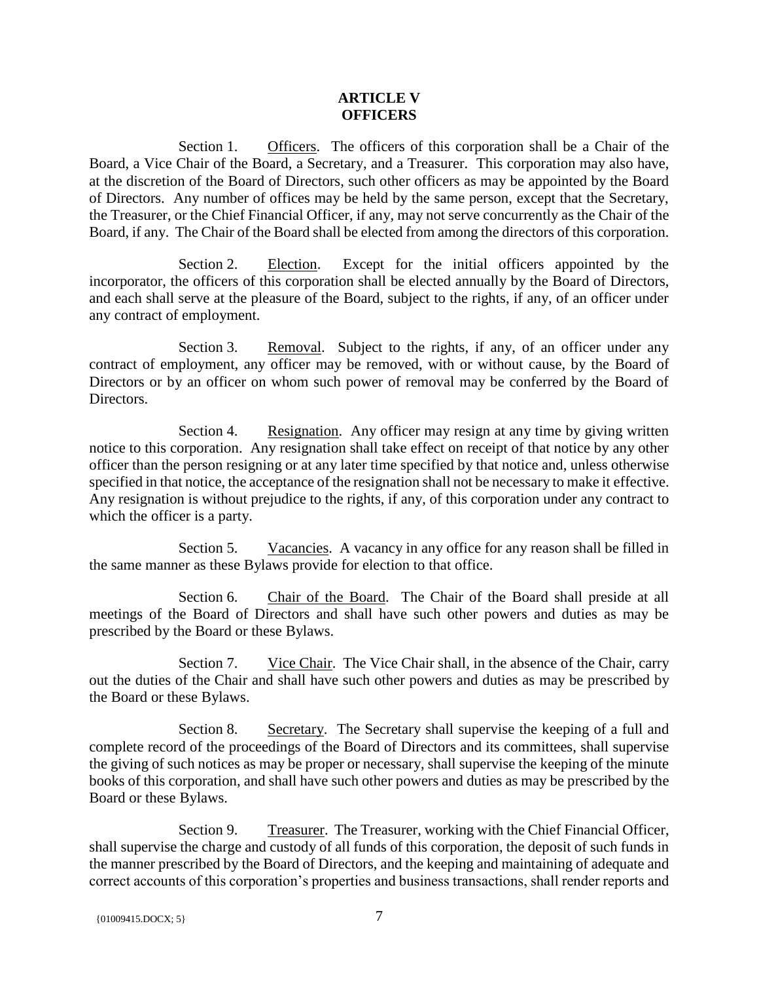#### **ARTICLE V OFFICERS**

Section 1. Officers. The officers of this corporation shall be a Chair of the Board, a Vice Chair of the Board, a Secretary, and a Treasurer. This corporation may also have, at the discretion of the Board of Directors, such other officers as may be appointed by the Board of Directors. Any number of offices may be held by the same person, except that the Secretary, the Treasurer, or the Chief Financial Officer, if any, may not serve concurrently as the Chair of the Board, if any. The Chair of the Board shall be elected from among the directors of this corporation.

Section 2. Election. Except for the initial officers appointed by the incorporator, the officers of this corporation shall be elected annually by the Board of Directors, and each shall serve at the pleasure of the Board, subject to the rights, if any, of an officer under any contract of employment.

Section 3. Removal. Subject to the rights, if any, of an officer under any contract of employment, any officer may be removed, with or without cause, by the Board of Directors or by an officer on whom such power of removal may be conferred by the Board of Directors.

Section 4. Resignation. Any officer may resign at any time by giving written notice to this corporation. Any resignation shall take effect on receipt of that notice by any other officer than the person resigning or at any later time specified by that notice and, unless otherwise specified in that notice, the acceptance of the resignation shall not be necessary to make it effective. Any resignation is without prejudice to the rights, if any, of this corporation under any contract to which the officer is a party.

Section 5. Vacancies. A vacancy in any office for any reason shall be filled in the same manner as these Bylaws provide for election to that office.

Section 6. Chair of the Board. The Chair of the Board shall preside at all meetings of the Board of Directors and shall have such other powers and duties as may be prescribed by the Board or these Bylaws.

Section 7. Vice Chair. The Vice Chair shall, in the absence of the Chair, carry out the duties of the Chair and shall have such other powers and duties as may be prescribed by the Board or these Bylaws.

Section 8. Secretary. The Secretary shall supervise the keeping of a full and complete record of the proceedings of the Board of Directors and its committees, shall supervise the giving of such notices as may be proper or necessary, shall supervise the keeping of the minute books of this corporation, and shall have such other powers and duties as may be prescribed by the Board or these Bylaws.

Section 9. Treasurer. The Treasurer, working with the Chief Financial Officer, shall supervise the charge and custody of all funds of this corporation, the deposit of such funds in the manner prescribed by the Board of Directors, and the keeping and maintaining of adequate and correct accounts of this corporation's properties and business transactions, shall render reports and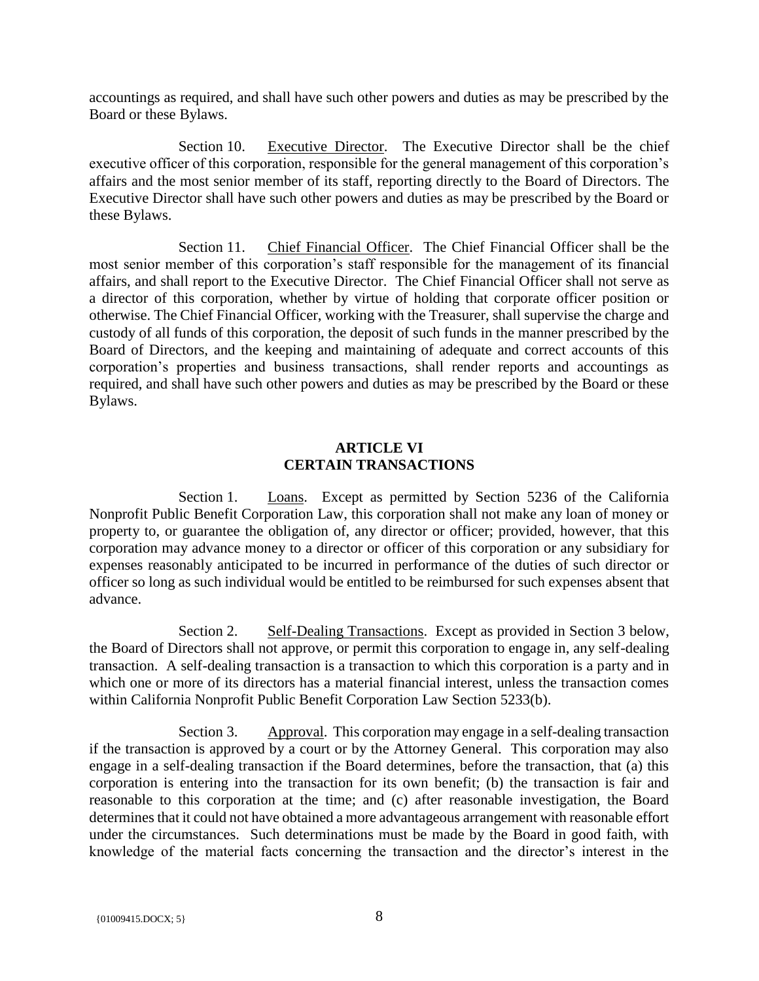accountings as required, and shall have such other powers and duties as may be prescribed by the Board or these Bylaws.

Section 10. Executive Director. The Executive Director shall be the chief executive officer of this corporation, responsible for the general management of this corporation's affairs and the most senior member of its staff, reporting directly to the Board of Directors. The Executive Director shall have such other powers and duties as may be prescribed by the Board or these Bylaws.

Section 11. Chief Financial Officer. The Chief Financial Officer shall be the most senior member of this corporation's staff responsible for the management of its financial affairs, and shall report to the Executive Director. The Chief Financial Officer shall not serve as a director of this corporation, whether by virtue of holding that corporate officer position or otherwise. The Chief Financial Officer, working with the Treasurer, shall supervise the charge and custody of all funds of this corporation, the deposit of such funds in the manner prescribed by the Board of Directors, and the keeping and maintaining of adequate and correct accounts of this corporation's properties and business transactions, shall render reports and accountings as required, and shall have such other powers and duties as may be prescribed by the Board or these Bylaws.

#### **ARTICLE VI CERTAIN TRANSACTIONS**

Section 1. Loans. Except as permitted by Section 5236 of the California Nonprofit Public Benefit Corporation Law, this corporation shall not make any loan of money or property to, or guarantee the obligation of, any director or officer; provided, however, that this corporation may advance money to a director or officer of this corporation or any subsidiary for expenses reasonably anticipated to be incurred in performance of the duties of such director or officer so long as such individual would be entitled to be reimbursed for such expenses absent that advance.

Section 2. Self-Dealing Transactions. Except as provided in Section 3 below, the Board of Directors shall not approve, or permit this corporation to engage in, any self-dealing transaction. A self-dealing transaction is a transaction to which this corporation is a party and in which one or more of its directors has a material financial interest, unless the transaction comes within California Nonprofit Public Benefit Corporation Law Section 5233(b).

Section 3. Approval. This corporation may engage in a self-dealing transaction if the transaction is approved by a court or by the Attorney General. This corporation may also engage in a self-dealing transaction if the Board determines, before the transaction, that (a) this corporation is entering into the transaction for its own benefit; (b) the transaction is fair and reasonable to this corporation at the time; and (c) after reasonable investigation, the Board determines that it could not have obtained a more advantageous arrangement with reasonable effort under the circumstances. Such determinations must be made by the Board in good faith, with knowledge of the material facts concerning the transaction and the director's interest in the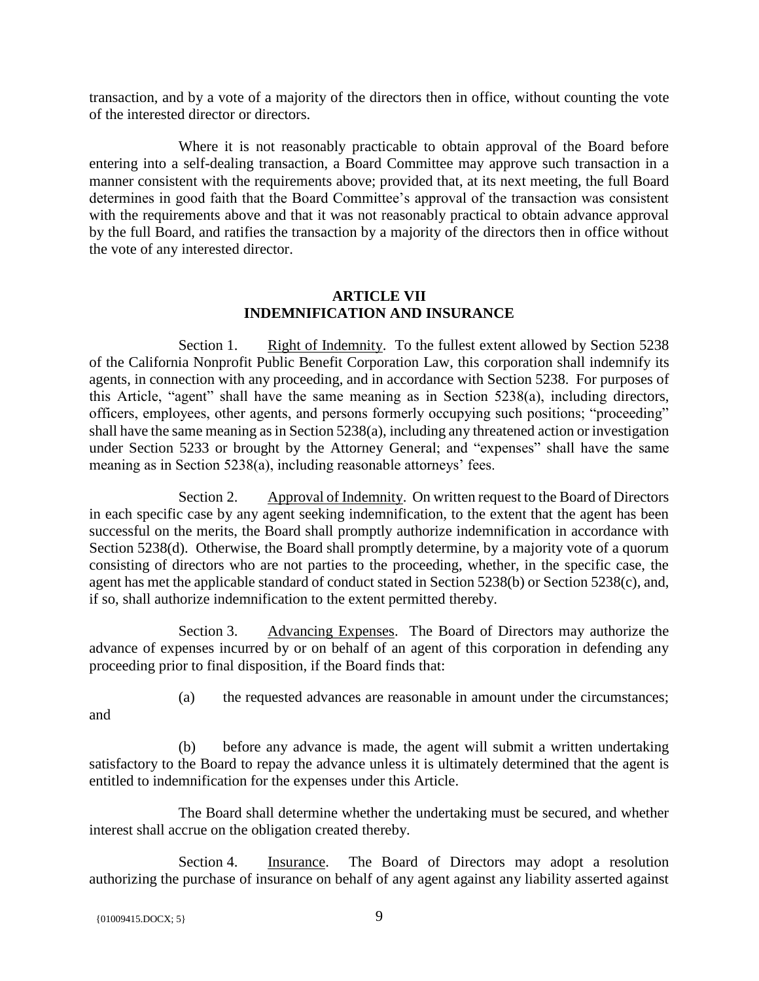transaction, and by a vote of a majority of the directors then in office, without counting the vote of the interested director or directors.

Where it is not reasonably practicable to obtain approval of the Board before entering into a self-dealing transaction, a Board Committee may approve such transaction in a manner consistent with the requirements above; provided that, at its next meeting, the full Board determines in good faith that the Board Committee's approval of the transaction was consistent with the requirements above and that it was not reasonably practical to obtain advance approval by the full Board, and ratifies the transaction by a majority of the directors then in office without the vote of any interested director.

### **ARTICLE VII INDEMNIFICATION AND INSURANCE**

Section 1. Right of Indemnity. To the fullest extent allowed by Section 5238 of the California Nonprofit Public Benefit Corporation Law, this corporation shall indemnify its agents, in connection with any proceeding, and in accordance with Section 5238. For purposes of this Article, "agent" shall have the same meaning as in Section 5238(a), including directors, officers, employees, other agents, and persons formerly occupying such positions; "proceeding" shall have the same meaning as in Section 5238(a), including any threatened action or investigation under Section 5233 or brought by the Attorney General; and "expenses" shall have the same meaning as in Section 5238(a), including reasonable attorneys' fees.

Section 2. Approval of Indemnity. On written request to the Board of Directors in each specific case by any agent seeking indemnification, to the extent that the agent has been successful on the merits, the Board shall promptly authorize indemnification in accordance with Section 5238(d). Otherwise, the Board shall promptly determine, by a majority vote of a quorum consisting of directors who are not parties to the proceeding, whether, in the specific case, the agent has met the applicable standard of conduct stated in Section 5238(b) or Section 5238(c), and, if so, shall authorize indemnification to the extent permitted thereby.

Section 3. Advancing Expenses. The Board of Directors may authorize the advance of expenses incurred by or on behalf of an agent of this corporation in defending any proceeding prior to final disposition, if the Board finds that:

and

(a) the requested advances are reasonable in amount under the circumstances;

(b) before any advance is made, the agent will submit a written undertaking satisfactory to the Board to repay the advance unless it is ultimately determined that the agent is entitled to indemnification for the expenses under this Article.

The Board shall determine whether the undertaking must be secured, and whether interest shall accrue on the obligation created thereby.

Section 4. Insurance. The Board of Directors may adopt a resolution authorizing the purchase of insurance on behalf of any agent against any liability asserted against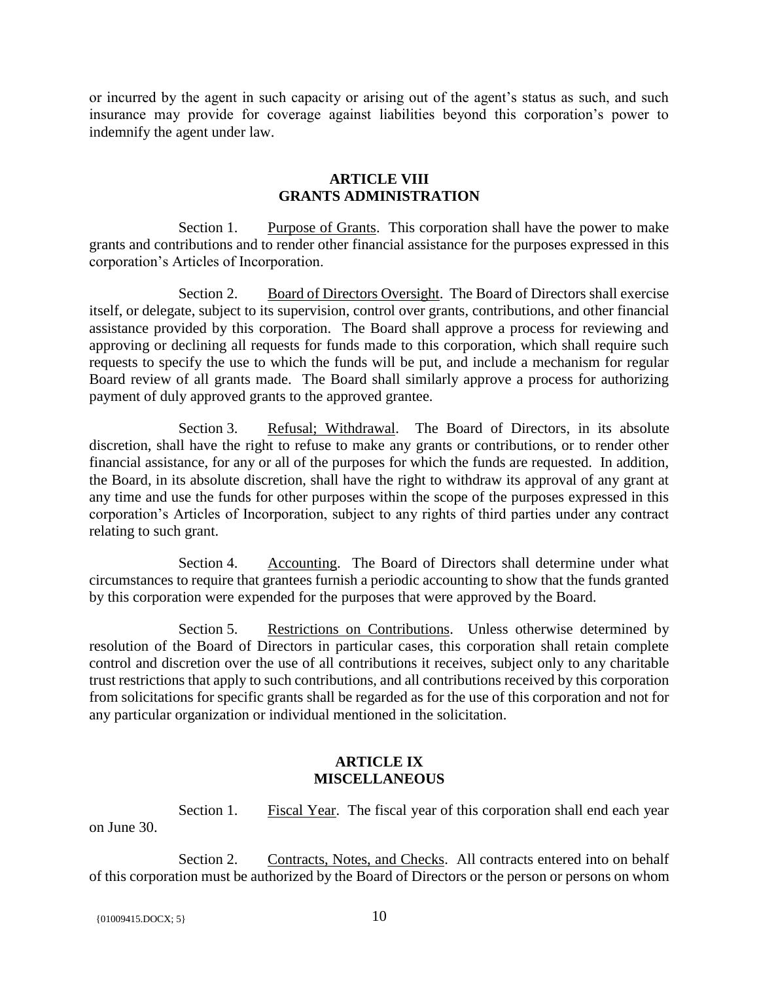or incurred by the agent in such capacity or arising out of the agent's status as such, and such insurance may provide for coverage against liabilities beyond this corporation's power to indemnify the agent under law.

### **ARTICLE VIII GRANTS ADMINISTRATION**

Section 1. Purpose of Grants. This corporation shall have the power to make grants and contributions and to render other financial assistance for the purposes expressed in this corporation's Articles of Incorporation.

Section 2. Board of Directors Oversight. The Board of Directors shall exercise itself, or delegate, subject to its supervision, control over grants, contributions, and other financial assistance provided by this corporation. The Board shall approve a process for reviewing and approving or declining all requests for funds made to this corporation, which shall require such requests to specify the use to which the funds will be put, and include a mechanism for regular Board review of all grants made. The Board shall similarly approve a process for authorizing payment of duly approved grants to the approved grantee.

Section 3. Refusal; Withdrawal. The Board of Directors, in its absolute discretion, shall have the right to refuse to make any grants or contributions, or to render other financial assistance, for any or all of the purposes for which the funds are requested. In addition, the Board, in its absolute discretion, shall have the right to withdraw its approval of any grant at any time and use the funds for other purposes within the scope of the purposes expressed in this corporation's Articles of Incorporation, subject to any rights of third parties under any contract relating to such grant.

Section 4. Accounting. The Board of Directors shall determine under what circumstances to require that grantees furnish a periodic accounting to show that the funds granted by this corporation were expended for the purposes that were approved by the Board.

Section 5. Restrictions on Contributions. Unless otherwise determined by resolution of the Board of Directors in particular cases, this corporation shall retain complete control and discretion over the use of all contributions it receives, subject only to any charitable trust restrictions that apply to such contributions, and all contributions received by this corporation from solicitations for specific grants shall be regarded as for the use of this corporation and not for any particular organization or individual mentioned in the solicitation.

### **ARTICLE IX MISCELLANEOUS**

Section 1. Fiscal Year. The fiscal year of this corporation shall end each year on June 30.

Section 2. Contracts, Notes, and Checks. All contracts entered into on behalf of this corporation must be authorized by the Board of Directors or the person or persons on whom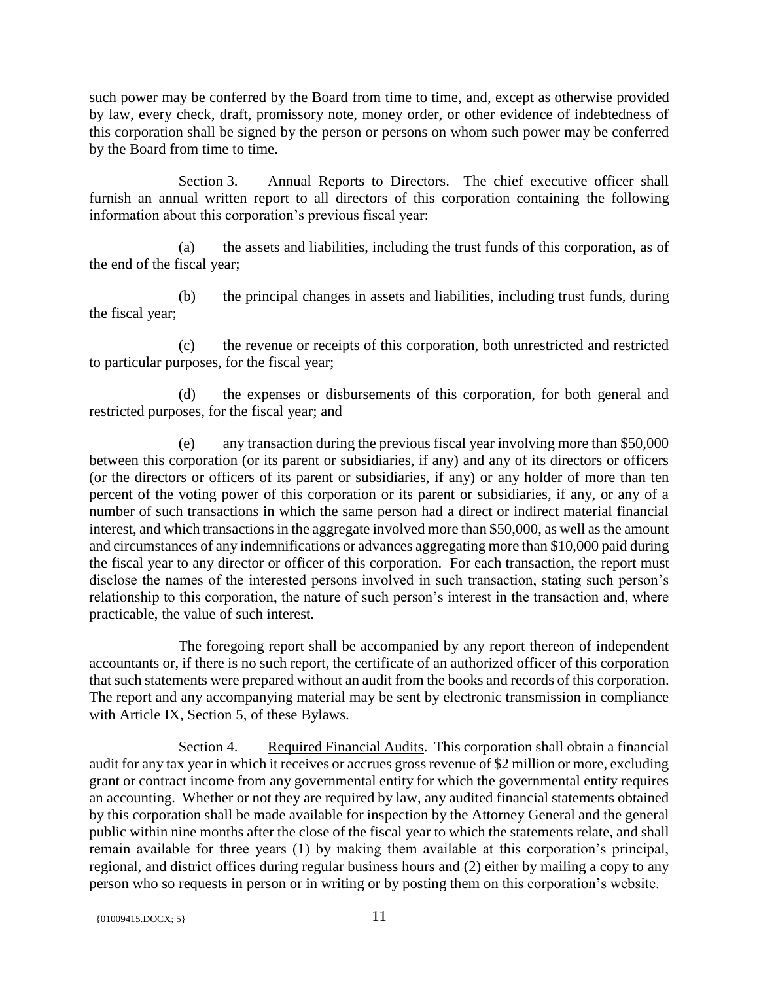such power may be conferred by the Board from time to time, and, except as otherwise provided by law, every check, draft, promissory note, money order, or other evidence of indebtedness of this corporation shall be signed by the person or persons on whom such power may be conferred by the Board from time to time.

Section 3. Annual Reports to Directors. The chief executive officer shall furnish an annual written report to all directors of this corporation containing the following information about this corporation's previous fiscal year:

(a) the assets and liabilities, including the trust funds of this corporation, as of the end of the fiscal year;

(b) the principal changes in assets and liabilities, including trust funds, during the fiscal year;

(c) the revenue or receipts of this corporation, both unrestricted and restricted to particular purposes, for the fiscal year;

(d) the expenses or disbursements of this corporation, for both general and restricted purposes, for the fiscal year; and

(e) any transaction during the previous fiscal year involving more than \$50,000 between this corporation (or its parent or subsidiaries, if any) and any of its directors or officers (or the directors or officers of its parent or subsidiaries, if any) or any holder of more than ten percent of the voting power of this corporation or its parent or subsidiaries, if any, or any of a number of such transactions in which the same person had a direct or indirect material financial interest, and which transactions in the aggregate involved more than \$50,000, as well as the amount and circumstances of any indemnifications or advances aggregating more than \$10,000 paid during the fiscal year to any director or officer of this corporation. For each transaction, the report must disclose the names of the interested persons involved in such transaction, stating such person's relationship to this corporation, the nature of such person's interest in the transaction and, where practicable, the value of such interest.

The foregoing report shall be accompanied by any report thereon of independent accountants or, if there is no such report, the certificate of an authorized officer of this corporation that such statements were prepared without an audit from the books and records of this corporation. The report and any accompanying material may be sent by electronic transmission in compliance with Article IX, Section 5, of these Bylaws.

Section 4. Required Financial Audits. This corporation shall obtain a financial audit for any tax year in which it receives or accrues gross revenue of \$2 million or more, excluding grant or contract income from any governmental entity for which the governmental entity requires an accounting. Whether or not they are required by law, any audited financial statements obtained by this corporation shall be made available for inspection by the Attorney General and the general public within nine months after the close of the fiscal year to which the statements relate, and shall remain available for three years (1) by making them available at this corporation's principal, regional, and district offices during regular business hours and (2) either by mailing a copy to any person who so requests in person or in writing or by posting them on this corporation's website.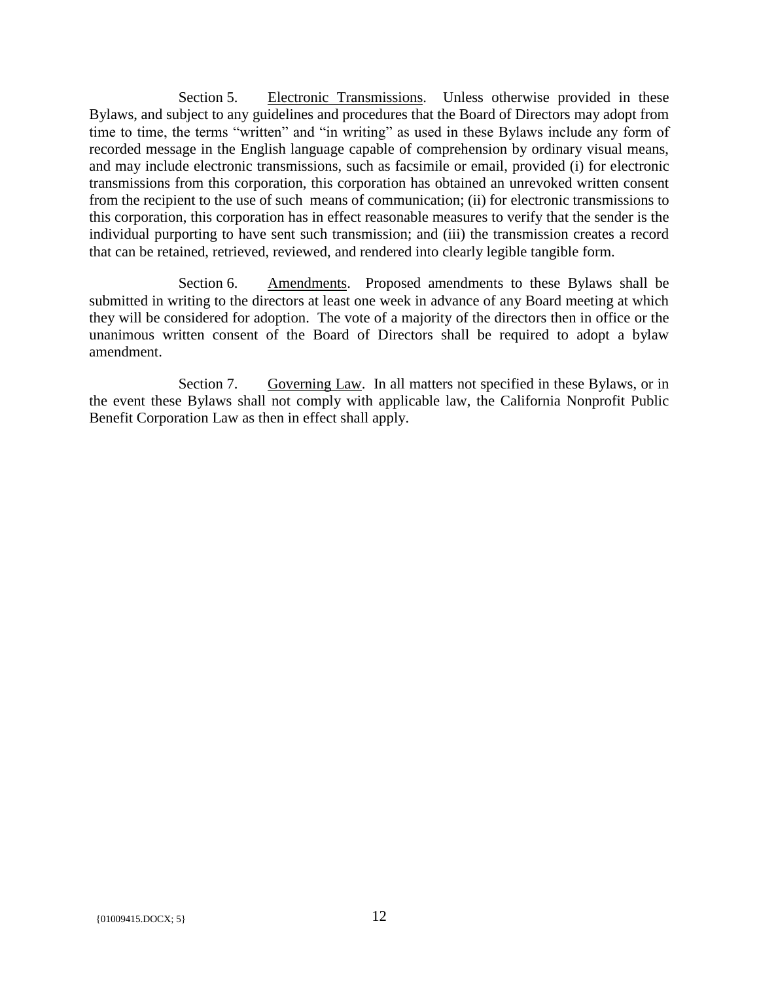Section 5. Electronic Transmissions. Unless otherwise provided in these Bylaws, and subject to any guidelines and procedures that the Board of Directors may adopt from time to time, the terms "written" and "in writing" as used in these Bylaws include any form of recorded message in the English language capable of comprehension by ordinary visual means, and may include electronic transmissions, such as facsimile or email, provided (i) for electronic transmissions from this corporation, this corporation has obtained an unrevoked written consent from the recipient to the use of such means of communication; (ii) for electronic transmissions to this corporation, this corporation has in effect reasonable measures to verify that the sender is the individual purporting to have sent such transmission; and (iii) the transmission creates a record that can be retained, retrieved, reviewed, and rendered into clearly legible tangible form.

Section 6. Amendments. Proposed amendments to these Bylaws shall be submitted in writing to the directors at least one week in advance of any Board meeting at which they will be considered for adoption. The vote of a majority of the directors then in office or the unanimous written consent of the Board of Directors shall be required to adopt a bylaw amendment.

Section 7. Governing Law. In all matters not specified in these Bylaws, or in the event these Bylaws shall not comply with applicable law, the California Nonprofit Public Benefit Corporation Law as then in effect shall apply.